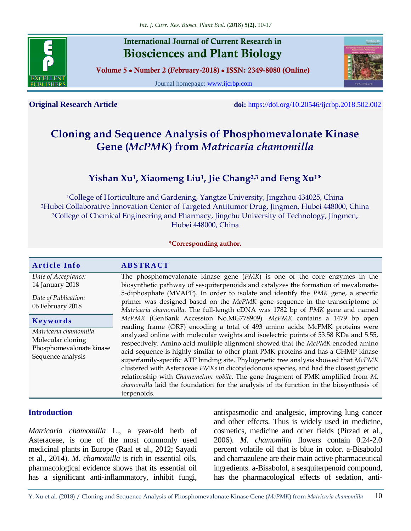

## **International Journal of Current Research in Biosciences and Plant Biology**

**Volume 5 ● Number 2 (February-2018) ● ISSN: 2349-8080 (Online)**

Journal homepage: [www.ijcrbp.com](http://www.ijcrbp.com/)



**Original Research Article doi:** <https://doi.org/10.20546/ijcrbp.2018.502.002>

# **Cloning and Sequence Analysis of Phosphomevalonate Kinase Gene (***McPMK***) from** *Matricaria chamomilla*

## **Yishan Xu<sup>1</sup> , Xiaomeng Liu<sup>1</sup> , Jie Chang2,3 and Feng Xu1\***

<sup>1</sup>College of Horticulture and Gardening, Yangtze University, Jingzhou 434025, China <sup>2</sup>Hubei Collaborative Innovation Center of Targeted Antitumor Drug, Jingmen, Hubei 448000, China <sup>3</sup>College of Chemical Engineering and Pharmacy, Jingchu University of Technology, Jingmen, Hubei 448000, China

#### **\*Corresponding author.**

| <b>Article Info</b>                                                                                     | <b>ABSTRACT</b>                                                                                                                                                                                                                                                                                                                                                                                                                                                                                                                                                                                                                                                                                                                                                                                         |  |
|---------------------------------------------------------------------------------------------------------|---------------------------------------------------------------------------------------------------------------------------------------------------------------------------------------------------------------------------------------------------------------------------------------------------------------------------------------------------------------------------------------------------------------------------------------------------------------------------------------------------------------------------------------------------------------------------------------------------------------------------------------------------------------------------------------------------------------------------------------------------------------------------------------------------------|--|
| Date of Acceptance:<br>14 January 2018<br>Date of Publication:<br>06 February 2018                      | The phosphomevalonate kinase gene $(PMK)$ is one of the core enzymes in the<br>biosynthetic pathway of sesquiterpenoids and catalyzes the formation of mevalonate-<br>5-diphosphate (MVAPP). In order to isolate and identify the PMK gene, a specific<br>primer was designed based on the McPMK gene sequence in the transcriptome of<br>Matricaria chamomilla. The full-length cDNA was 1782 bp of PMK gene and named                                                                                                                                                                                                                                                                                                                                                                                 |  |
| Keywords<br>Matricaria chamomilla<br>Molecular cloning<br>Phosphomevalonate kinase<br>Sequence analysis | McPMK (GenBank Accession No.MG778909). McPMK contains a 1479 bp open<br>reading frame (ORF) encoding a total of 493 amino acids. McPMK proteins were<br>analyzed online with molecular weights and isoelectric points of 53.58 KDa and 5.55,<br>respectively. Amino acid multiple alignment showed that the McPMK encoded amino<br>acid sequence is highly similar to other plant PMK proteins and has a GHMP kinase<br>superfamily-specific ATP binding site. Phylogenetic tree analysis showed that McPMK<br>clustered with Asteraceae PMKs in dicotyledonous species, and had the closest genetic<br>relationship with Chamemelum nobile. The gene fragment of PMK amplified from M.<br><i>chamomilla</i> laid the foundation for the analysis of its function in the biosynthesis of<br>terpenoids. |  |

## **Introduction**

*Matricaria chamomilla* L., a year-old herb of Asteraceae, is one of the most commonly used medicinal plants in Europe (Raal et al., 2012; Sayadi et al., 2014). *M. chamomilla* is rich in essential oils, pharmacological evidence shows that its essential oil has a significant anti-inflammatory, inhibit fungi,

antispasmodic and analgesic, improving lung cancer and other effects. Thus is widely used in medicine, cosmetics, medicine and other fields (Pirzad et al., 2006). *M. chamomilla* flowers contain 0.24-2.0 percent volatile oil that is blue in color. a-Bisabolol and chamazulene are their main active pharmaceutical ingredients. a-Bisabolol, a sesquiterpenoid compound, has the pharmacological effects of sedation, anti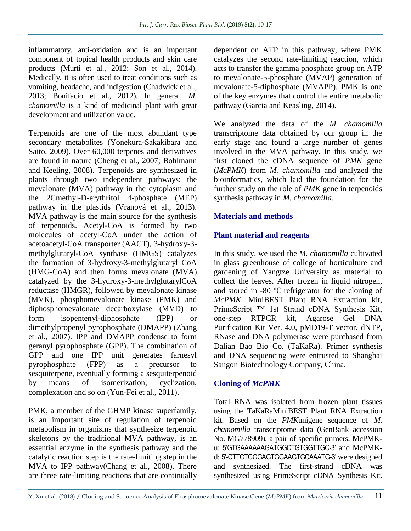inflammatory, anti-oxidation and is an important component of topical health products and skin care products (Murti et al., 2012; Son et al., 2014). Medically, it is often used to treat conditions such as vomiting, headache, and indigestion (Chadwick et al., 2013; Bonifacio et al., 2012). In general, *M. chamomilla* is a kind of medicinal plant with great development and utilization value.

Terpenoids are one of the most abundant type secondary metabolites (Yonekura-Sakakibara and Saito, 2009). Over 60,000 terpenes and derivatives are found in nature (Cheng et al., 2007; Bohlmann and Keeling, 2008). Terpenoids are synthesized in plants through two independent pathways: the mevalonate (MVA) pathway in the cytoplasm and the 2Cmethyl-D-erythritol 4-phosphate (MEP) pathway in the plastids (Vranová et al., 2013). MVA pathway is the main source for the synthesis of terpenoids. Acetyl-CoA is formed by two molecules of acetyl-CoA under the action of acetoacetyl-CoA transporter (AACT), 3-hydroxy-3 methylglutaryl-CoA synthase (HMGS) catalyzes the formation of 3-hydroxy-3-methylglutaryl CoA (HMG-CoA) and then forms mevalonate (MVA) catalyzed by the 3-hydroxy-3-methylglutarylCoA reductase (HMGR), followed by mevalonate kinase (MVK), phosphomevalonate kinase (PMK) and diphosphomevalonate decarboxylase (MVD) to form isopentenyl-diphosphate (IPP) or dimethylpropenyl pyrophosphate (DMAPP) (Zhang et al., 2007). IPP and DMAPP condense to form geranyl pyrophosphate (GPP). The combination of GPP and one IPP unit generates farnesyl pyrophosphate (FPP) as a precursor to sesquiterpene, eventually forming a sesquiterpenoid by means of isomerization, cyclization, complexation and so on (Yun-Fei et al., 2011).

PMK, a member of the GHMP kinase superfamily, is an important site of regulation of terpenoid metabolism in organisms that synthesize terpenoid skeletons by the traditional MVA pathway, is an essential enzyme in the synthesis pathway and the catalytic reaction step is the rate-limiting step in the MVA to IPP pathway(Chang et al., 2008). There are three rate-limiting reactions that are continually

dependent on ATP in this pathway, where PMK catalyzes the second rate-limiting reaction, which acts to transfer the gamma phosphate group on ATP to mevalonate-5-phosphate (MVAP) generation of mevalonate-5-diphosphate (MVAPP). PMK is one of the key enzymes that control the entire metabolic pathway (Garcia and Keasling, 2014).

We analyzed the data of the *M. chamomilla* transcriptome data obtained by our group in the early stage and found a large number of genes involved in the MVA pathway. In this study, we first cloned the cDNA sequence of *PMK* gene (*McPMK*) from *M. chamomilla* and analyzed the bioinformatics, which laid the foundation for the further study on the role of *PMK* gene in terpenoids synthesis pathway in *M. chamomilla*.

## **Materials and methods**

## **Plant material and reagents**

In this study, we used the *M. chamomilla* cultivated in glass greenhouse of college of horticulture and gardening of Yangtze University as material to collect the leaves. After frozen in liquid nitrogen, and stored in -80 ℃ refrigerator for the cloning of *McPMK*. MiniBEST Plant RNA Extraction kit, PrimeScript ™ 1st Strand cDNA Synthesis Kit, one-step RTPCR kit, Agarose Gel DNA Purification Kit Ver. 4.0, pMD19-T vector, dNTP, RNase and DNA polymerase were purchased from Dalian Bao Bio Co. (TaKaRa). Primer synthesis and DNA sequencing were entrusted to Shanghai Sangon Biotechnology Company, China.

## **Cloning of** *McPMK*

Total RNA was isolated from frozen plant tissues using the TaKaRaMiniBEST Plant RNA Extraction kit. Based on the *PMK*unigene sequence of *M. chamomilla* transcriptome data (GenBank accession No. MG778909), a pair of specific primers, McPMKu: 5'GTGAAAAAAGATGGCTGTGGTTGC-3' and McPMKd: 5'-CTTCTGGGAGTGGAAGTGCAAATG-3' were designed and synthesized. The first-strand cDNA was synthesized using PrimeScript cDNA Synthesis Kit.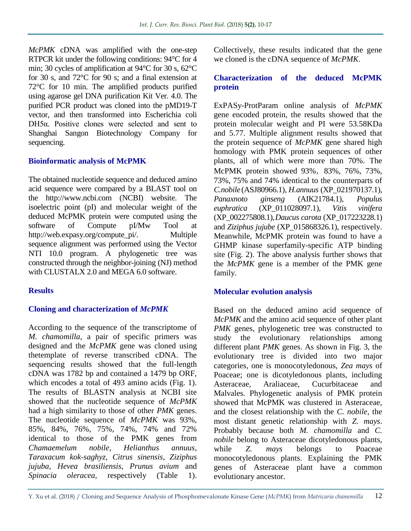*McPMK* cDNA was amplified with the one-step RTPCR kit under the following conditions: 94°C for 4 min; 30 cycles of amplification at 94°C for 30 s, 62°C for 30 s, and 72°C for 90 s; and a final extension at 72°C for 10 min. The amplified products purified using agarose gel DNA purification Kit Ver. 4.0. The purified PCR product was cloned into the pMD19-T vector, and then transformed into Escherichia coli DH5α. Positive clones were selected and sent to Shanghai Sangon Biotechnology Company for sequencing.

#### **Bioinformatic analysis of McPMK**

The obtained nucleotide sequence and deduced amino acid sequence were compared by a BLAST tool on the http://www.ncbi.com (NCBI) website. The isoelectric point (pI) and molecular weight of the deduced McPMK protein were computed using the software of Compute pI/Mw Tool at http://web.expasy.org/compute\_pi/. Multiple sequence alignment was performed using the Vector NTI 10.0 program. A phylogenetic tree was constructed through the neighbor-joining (NJ) method with CLUSTALX 2.0 and MEGA 6.0 software.

## **Results**

#### **Cloning and characterization of** *McPMK*

According to the sequence of the transcriptome of *M. chamomilla*, a pair of specific primers was designed and the *McPMK* gene was cloned using thetemplate of reverse transcribed cDNA. The sequencing results showed that the full-length cDNA was 1782 bp and contained a 1479 bp ORF, which encodes a total of 493 amino acids (Fig. 1). The results of BLASTN analysis at NCBI site showed that the nucleotide sequence of *McPMK*  had a high similarity to those of other *PMK* genes. The nucleotide sequence of *McPMK* was 93%, 85%, 84%, 76%, 75%, 74%, 74% and 72% identical to those of the PMK genes from *Chamaemelum nobile, Helianthus annuus*, *Taraxacum kok-saghyz*, *Citrus sinensis*, *Ziziphus jujuba*, *Hevea brasiliensis*, *Prunus avium* and *Spinacia oleracea,* respectively (Table 1).

Collectively, these results indicated that the gene we cloned is the cDNA sequence of *McPMK*.

## **Characterization of the deduced McPMK protein**

ExPASy-ProtParam online analysis of *McPMK*  gene encoded protein, the results showed that the protein molecular weight and PI were 53.58KDa and 5.77. Multiple alignment results showed that the protein sequence of *McPMK* gene shared high homology with PMK protein sequences of other plants, all of which were more than 70%. The McPMK protein showed 93%, 83%, 76%, 73%, 73%, 75% and 74% identical to the counterparts of *C.nobile* (ASJ80966.1), *H.annuus* (XP\_021970137.1), *Panaxnoto ginseng* (AIK21784.1), *Populus euphratica* (XP\_011028097.1), *Vitis vinifera*  (XP\_002275808.1),*Daucus carota* (XP\_017223228.1) and *Ziziphus jujube* (XP\_015868326.1), respectively. Meanwhile, McPMK protein was found to have a GHMP kinase superfamily-specific ATP binding site (Fig. 2). The above analysis further shows that the *McPMK* gene is a member of the PMK gene family.

## **Molecular evolution analysis**

Based on the deduced amino acid sequence of *McPMK* and the amino acid sequence of other plant *PMK* genes, phylogenetic tree was constructed to study the evolutionary relationships among different plant *PMK* genes. As shown in Fig. 3, the evolutionary tree is divided into two major categories, one is monocotyledonous, *Zea mays* of Poaceae; one is dicotyledonous plants, including Asteraceae, Araliaceae, Cucurbitaceae and Malvales. Phylogenetic analysis of PMK protein showed that McPMK was clustered in Asteraceae, and the closest relationship with the *C. nobile*, the most distant genetic relationship with *Z. mays*. Probably because both *M. chamomilla* and *C. nobile* belong to Asteraceae dicotyledonous plants, while *Z. mays* belongs to Poaceae monocotyledonous plants. Explaining the PMK genes of Asteraceae plant have a common evolutionary ancestor.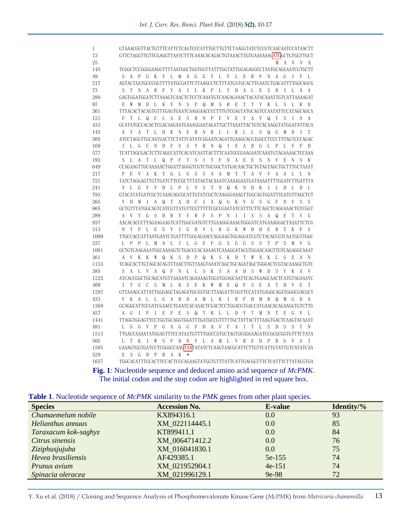| 1    | GTAAACGGTTACTGTTTCATTCTCAGTCCCATTTGCTTGTTCTAAGGTATCTCCGTCAACAATCCATAACTT                                                                                                         |
|------|----------------------------------------------------------------------------------------------------------------------------------------------------------------------------------|
| 73   | GTTCTAGGTTGTTCGAGGTTAATCTTTCAAACACAGACTGTAAACTTGTGAAAAAAGATGGCTGTGGTTGCT                                                                                                         |
| 25   | V V<br>M<br>A<br>A                                                                                                                                                               |
| 145  | TCGGCTCCGGGGAAGGTTTTAATGGCTGGTGGTTATTTGGTATTGGAGAGGCCTAATGCAGGAATCGTGCTT                                                                                                         |
| 49   | G K V L M A G G Y L V L E R P N<br>S<br>A P<br>A G<br>T<br>VL.                                                                                                                   |
| 217  | AGTACTAATGCCCGGTTTTATGCGATTCTTAAGCCTCTTTATGATGCACTTGAATCTGACATTTTGGCAGCG                                                                                                         |
| 73   | T<br>A R<br>F Y<br>A<br>I<br>L K P L Y D A L<br>E<br>S<br>D<br>I<br>S<br>N<br>- L<br>A A                                                                                         |
| 289  |                                                                                                                                                                                  |
| 97   | $\mathbf{L}$<br>K<br>V<br>N <sub>N</sub><br>S P<br>$Q$ M<br>S R<br>E<br>T T<br>Y<br>K<br>$\mathbf{L}$<br>S<br>- L<br>K<br>E<br>W<br>M<br>D<br>D                                  |
| 361  | TTTACACTACAGTGTTTGAGTGAATCAAGGAACCCCTTTGTCGAGTATGCAGTCCAATATTCCATAGCAGCA                                                                                                         |
| 121  | L<br>S<br>- E<br>S.<br>R<br>N P F V E<br>Y A V<br>Q<br>Y<br>S<br>T<br>T<br>L<br>$\mathsf Q$<br>C                                                                                 |
| 433  | GCATATGCCACACTCGACAAGAATGAAAGGAATAGATTGCTTAAATTACTGTCACAAGGTATGGATATTACA                                                                                                         |
| 145  | T L<br>D K N<br>ERN R<br>L L K<br>L L S<br>$\bullet$<br>G<br>M<br>D<br>T<br>T<br>A<br>Y<br>A                                                                                     |
| 505  | ATCCTAGGTTGCAATGACTTCTATTCATATCGGAATCAGATTGAAGCACGTGGCCTCCCTTTAGTCCCAGAC                                                                                                         |
| 169  | S<br>Y<br>$I$ E<br>L<br>L<br>- C<br>N<br>D<br>F Y<br>R N<br>Q<br>ARGL<br>P<br>L<br>V<br>P<br>D<br>G                                                                              |
| 577  | TCATTAGCGACTCTTCAGCCATTCACATCAATTACTTTCAATGCCGAAGAATCAAATGTAGAAAACTCCAAA                                                                                                         |
| 193  | $\Omega$<br>$\mathsf{P}$<br>T<br>S<br>$\mathbf{I}$<br>T<br>- F<br>N <sub>N</sub><br>$\mathbf{A}$<br>E<br>E<br>S<br>E<br>S<br>K<br>S<br>- L<br>A<br>T<br>L<br>-F<br>- N<br>V<br>N |
| 649  | CCAGAAGTTGCAAAAACTGGATTAGGGTCGTCTGCGGCTATGACAACTGCTGTAGTAGCTGCTTTGCTAAAT                                                                                                         |
| 217  | T<br>- L<br>G<br>S S A A M<br>T<br>T A V V<br>P<br>- E<br>V<br>A<br>K<br>G<br>A<br>А<br>L<br>L                                                                                   |
| 721  | TATCTAGGAGTTGTTGATCTTCCGCTTTATAGTACAAATCAAAAGAATGATAAAATTTTGGATCTTGATTTA                                                                                                         |
| 241  | Y<br>S<br>T<br>G<br>V V<br>D<br>L P L<br>N Q K<br>N<br>D<br>K<br>T<br>L<br>L<br>Y<br>L<br>D<br>D                                                                                 |
| 793  | GTACATATGATCGCTCAAACAGCGCATTGTATCGCTCAAGGGAAAGTTGGCAGTGGATTTGATGTTAGCTCT                                                                                                         |
| 265  | V G<br>S<br>S<br>V<br>M<br>I A<br>T<br>A H<br>C I A<br>Q G K<br>G<br>F<br>D<br>V<br>S<br>H<br>$\Omega$                                                                           |
| 865  | GCTGTTTATGGCAGTCATCGTTATGTTCGTTTTTCGCCGAATATCATTTCTTCAGCTCAGGAAACTGTCGGT                                                                                                         |
| 289  | Y V R F S<br>P N<br>$\top$<br>S<br>G<br><sub>S</sub><br>H<br>R<br>L<br>S<br>A<br>- E<br>V Y<br>$\Omega$<br>T<br>V<br>G                                                           |
| 937  | AACACACCCTTAGAAGAAGTCATTGGCGATGTCTTGAAGGGAAAGTGGGATCATGAAAGGACTAAATTCTCG                                                                                                         |
| 313  | E<br>E<br>V <sub>v</sub><br>Ι<br>G D V L K G K<br>W D<br>H<br>E<br>R<br>T<br>K<br>F<br>T<br>$\mathsf{P}$<br>- L                                                                  |
| 1009 | TTGCCACCATTAATGAATCTGATTTTGGGAGAACCAGGAAGTGGAGGATCGTCTACACCGTCAATGGTTGGC                                                                                                         |
| 337  | T<br>$G$ $E$ $P$ $G$<br>$S$ $G$<br>G<br>S<br>S<br>T<br>S<br>P P<br>- L<br>M<br>NL<br>- L<br>P<br>M<br>V<br>G<br>L                                                                |
| 1081 | GCTGTCAAGAAATGGCAAAAGTCTGACCCACAAAAGTCAAAGGATACGTGGAACAAGTTGTCAGAGGCAAAT                                                                                                         |
| 361  | Q K S<br>D P Q K S K D T W<br>V K K<br>W<br>N.<br>K<br>L<br>S<br>E<br>A N                                                                                                        |
| 1153 | TCAGCACTTGTAGCACAGTTTAACTTGTTAAGTAAATCAGCTGCAGATAGCTGGGACTCGTACAAAGCTGTC                                                                                                         |
| 385  | F N L L S K<br>S A A<br>D<br>S<br>W<br>S<br>Y<br>- L<br>V<br>A<br>$\Omega$<br>D<br>K<br>A V<br>A                                                                                 |
| 1225 |                                                                                                                                                                                  |
| 409  | M L K S E K W<br>T<br>$\mathcal{G}$<br>C S<br>M E Q F S<br>E<br>A<br>T<br>H<br>V<br>E<br>T.<br>Τ                                                                                 |
| 1297 | GTTAAAGCATTATTGGGAGCTAGAGATGCAATGCTTAAGATTCGGTTCCATATGAGGCAGATGGGCGACGCT                                                                                                         |
| 433  | Ι<br>R<br>- F<br>L<br>G<br>R<br>D<br>A M<br>L<br>K<br>H<br>M<br>R<br>$\Omega$<br>M<br>G<br>V<br>K<br>A<br>L<br>A<br>D<br>A                                                       |
| 1369 | GCAGGCATTCCGATCGAACCTGAATCACAAACTCGACTCCTGGACGTGACCATGAACACAGAAGGTGTCTTG                                                                                                         |
| 457  | L L D<br>$\mathbf{P}$<br>Ι<br>E<br>P E<br>- S<br>Q T R<br>V T<br>M<br>- N<br>T<br>E<br>G<br>L<br>G<br>VL                                                                         |
| 1441 | TTAGGTGGAGTTCCTGGTGCAGGTGGATTTGATGCCGTTTTTGCTATTACTTTAAGTGACTCAAGTACAAAT                                                                                                         |
| 481  | G V P G<br>A G<br>G F D A V F<br>A<br>Ι<br>TL.<br>S<br>D<br>S<br>S<br>T<br>N<br>L<br>G                                                                                           |
| 1513 | TTGACCAAAATATGGAGTTTCCATAATGTTTTGGCCATGCTAGTGCGGGAAGATCCGCGCGGTGTTTCTATA                                                                                                         |
| 505  | N V L A M L<br>V<br>$R$ $E$<br>D<br>$\mathbb{P}$<br>R<br>G<br>T<br>K<br>T<br>W<br>S<br>- F<br>H<br>V<br>S<br>T                                                                   |
| 1585 | GAAAGTGGTGATCCTCGGGCCAAGTAATATATCTCAAGTAACGCATTCTTGTTCATTGTATTGTCATATCAA                                                                                                         |
| 529  | S<br>G<br>D<br>P<br>R<br>A<br>Е<br>K<br>*                                                                                                                                        |
| 1657 | TGGCACATTTGCACTTCCACTCCCAGAAGTATGGTGTTTATTCATTGACGGTTTCTCATTTCTTATACGTGA                                                                                                         |

**Fig. 1**: Nucleotide sequence and deduced amino acid sequence of *McPMK*. The initial codon and the stop codon are highlighted in red square box.

|  | <b>Table 1.</b> Nucleotide sequence of <i>McPMK</i> similarity to the <i>PMK</i> genes from other plant species. |  |  |  |
|--|------------------------------------------------------------------------------------------------------------------|--|--|--|
|--|------------------------------------------------------------------------------------------------------------------|--|--|--|

| <b>Species</b>       | <b>Accession No.</b> | <b>E-value</b> | Identity/% |
|----------------------|----------------------|----------------|------------|
| Chamaemelum nobile   | KX894316.1           | 0.0            | 93         |
| Helianthus annuus    | XM 022114445.1       | 0.0            | 85         |
| Taraxacum kok-saghyz | KT899411.1           | 0.0            | 84         |
| Citrus sinensis      | XM_006471412.2       | 0.0            | 76         |
| Ziziphusjujuba       | XM_016041830.1       | 0.0            | 75         |
| Hevea brasiliensis   | AF429385.1           | 5e-155         | 74         |
| Prunus avium         | XM_021952904.1       | $4e-151$       | 74         |
| Spinacia oleracea    | XM 021996129.1       | 9e-98          | 72         |

Y. Xu et al. (2018) / Cloning and Sequence Analysis of Phosphomevalonate Kinase Gene (*McPMK*) from *Matricaria chamomilla* 13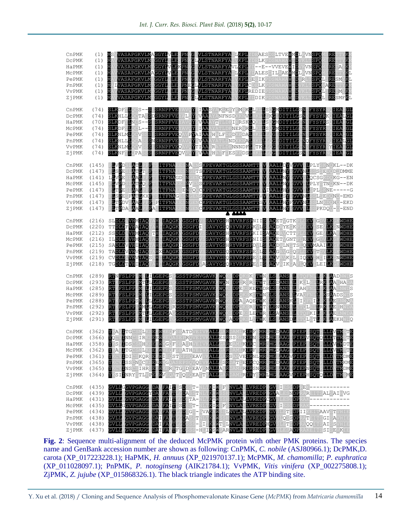| CnPMK<br><b>DCPMK</b><br>HaPMK<br>MCPMK<br>PePMK<br>PnPMK<br>VvPMK<br>ZjPMK | $(1)$ MS<br>(1) M <sub>2</sub><br>(1) M <sub>2</sub><br>(1)<br>$(1)$ M<br>(1)<br>(1)<br>(1) | M<br>IVASAPGKVLM GGYL LERPN<br>M<br>M<br>M                                                                                                                                                                                                                                                                                                                                                                                                                                                                 | VASAPGKVLMAGGYLVLERPNAGIVLSTNARFYA <mark>ILKPL</mark> YDEAESDSLTVE <mark>MMD</mark> LKVN <mark>SPO</mark> MS<br>VASAPGKVLMTGGYLI LERENAGLVLSTNARFYATVKPLYDELKPDSWAWAWTDVKLTSPOMSRETTYKM<br>VASAPGKVLMTGGYLVLEKPNAG VLSTNARFYAVLKPLYD--E--VVEVEWIDVKVNSPOMSRETAYKM<br>VASAPGKVLMAGGYLVLERPNAG VLSTNARFYA L <mark>KPL</mark> YDALES ILAEMMDLKVNSPOMSRE<br>VASAPGKVLMTGGYLTLERPNAG VLSTNARFYA VKPLYETIK DSWAWAMTDVRUTSPOLSRE<br>VASAPGKVLMTGGYLTLERPNAG<br>VASAPGKVLMTGGYL LERPNACLVLSTNARFYAT\ | E <mark>GLVLSTNARFYA</mark> IV                                                                                                                                                                                                                                                                                                                                                   |                           | KPLYEEIKPDSWAWAWTDVRLTSPQLSRESMYKL<br>L <mark>VLSTNARFYA IV KPLC</mark> DBLKPDSWAWA <mark>W IDVKLT SPOVARB</mark><br>I <b>VLSTNARFYA IV KPLREDIE</b> PDSWAWA <mark>W ID</mark> VKLT <mark>SPOL</mark> -RB<br>KPLYDDIKPDSWAWAWTDVKLTSPQLSRESMFKL                                                                                                                                                                                                                                                             |                                                                    | RE<br>TYK<br>nт.<br>KL<br>VKLT <mark>SPOMARE</mark> TTYKM<br>VKLT <mark>SPOLSRETMYK</mark> M                               |
|-----------------------------------------------------------------------------|---------------------------------------------------------------------------------------------|------------------------------------------------------------------------------------------------------------------------------------------------------------------------------------------------------------------------------------------------------------------------------------------------------------------------------------------------------------------------------------------------------------------------------------------------------------------------------------------------------------|----------------------------------------------------------------------------------------------------------------------------------------------------------------------------------------------------------------------------------------------------------------------------------------------------------------------------------------------------------------------------------------------------------------------------------------------------------------------------------------------|----------------------------------------------------------------------------------------------------------------------------------------------------------------------------------------------------------------------------------------------------------------------------------------------------------------------------------------------------------------------------------|---------------------------|-------------------------------------------------------------------------------------------------------------------------------------------------------------------------------------------------------------------------------------------------------------------------------------------------------------------------------------------------------------------------------------------------------------------------------------------------------------------------------------------------------------|--------------------------------------------------------------------|----------------------------------------------------------------------------------------------------------------------------|
| CnPMK<br><b>DCPMK</b><br>HaPMK<br>MCPMK<br>PePMK<br>PnPMK<br>VvPMK<br>ZjPMK |                                                                                             | (74) SLKDFTLOGS--S-SRNPFVBYAVOYSIAASYAK EKYKMAKLLKILSOGMDITILGSN<br>(74) SLKHLLLOGTA SPSRNPFVBYALOYSVAAAYANFNSDKKNVLKKLLKG DITILGSN<br>(70) SLKDFTLNCS--S SRNPFVE<br>(74) SLKDFTLQCL--SESRNPFVE<br>(74) SLKNLMLCCVSSSESRNPFVBQAVPYAIRA-HALFDKDKKDALHKLLCG DITILG NEYSYRNOIEA GL<br>(74) SLKHLLLCCASSNSRNPFVBYAVCYSVAA-YATLDNDKKNALHKLLCG DITILG NEYSYRNOIEA GL<br>(74) SLKNLMLCCVSSESRNPFVBQAVCYTIAA-RATLDKNNNDFLHTKLLCG DITILG NEYSYRN                                                                    |                                                                                                                                                                                                                                                                                                                                                                                                                                                                                              | , KO <b>YSVAAAYT</b> TLDK <mark>IKRSKLO</mark> KI<br>KAVQ <b>YSIAA</b> AYATLDKNERNR <mark>L</mark> LKI                                                                                                                                                                                                                                                                           |                           | LLKGLDITILGSNDFYSYRK<br>LS CMDITILG N FYSYRS TEARGL<br>LSOGMDITILGONDFYSYR                                                                                                                                                                                                                                                                                                                                                                                                                                  | FYSYRN                                                             | IEA<br><b>GL</b><br>IEALGL<br>IEARGL<br><b>TEARGE</b>                                                                      |
| CnPMK<br>DCPMK<br>HaPMK<br>MCPMK<br>PePMK<br>PnPMK<br>VvPMK<br>ZjPMK        | (145)<br>(147)<br>(147)                                                                     | PLVPDS<br><b>ATL</b><br>PPF.<br>(147) FLSPESIATLTPFT<br>(141) LLVPESIAALPPFT<br>(145) F <mark>ivedsiatiopet</mark><br>(147) F <mark>itesiaal</mark> pp <mark>e</mark> t:<br>LSEE-FATLKXEISTIFKAGSSNSEN <del>SKPEVAKTGLGSSAAMTIVV AALL</del> SY GVVNLSSLSEDONO-EMD<br>LTEDV AAL FEIPFIDFNASSSNSENGKPEVAKTGLGSSAAMTISV AALLHYFGVVNLSSLNKDOHO-EKD<br>(147) FLTPDA AALPFRASTIFNASSENGSNCKPEVAKTGLGSSAAMTT V AALLHY GVV LESPKDQ - - END                                                                         | <b>ITFNA</b>                                                                                                                                                                                                                                                                                                                                                                                                                                                                                 | IES <mark>NA</mark> EN <mark>SKPEVAKTGLGSSAAMTTAVVAALLDYVGVVDLPLY</mark> SKNOKL--DK<br>ITFNA ESNGETSKPEVAKTGLGSSAAMTTAV AALLNY_GVVNLSSSSEDODODMME<br>ITFNAGDSNGENCKPEVAKTGLGSSAAMTTAV AALLNY_GVVDLOCSGKDOKG--EN<br>ITFNA BSNVBNSKPEVAKTGLGSSAAMTTAV AALLNY GVVDLPLYSTNOKN--DK<br>ITFNA BBNGONCKPEVAKTGLGSSAAMTTAVIAALLHY GVVDLSPLSKNE-----G                                      | A AAAA                    |                                                                                                                                                                                                                                                                                                                                                                                                                                                                                                             |                                                                    |                                                                                                                            |
| CnPMK<br>DCPMK<br>HaPMK                                                     |                                                                                             | (216) SL <mark>DLD</mark> VHMIAQ<br>(220) TTDLDFVHAIAQ<br>(212) SS <mark>DLD VH</mark> MIAQTTH<br>(216) IL <mark>DLD VH</mark> MIAQTAH<br>MCPMK (216) ILDLD VHMIAQ<br>PePMK (215) SADLDVVHIIAQTAH<br>PNPMK (219) TADLDVVHVIAOTAHXIAOGK<br>VVPMK (219) CVDLDIVHVIAQSAHO<br>ZJPMK (218) TGDLDTVHIIAQ                                                                                                                                                                                                         | Н<br>IAQGK<br><b>TAH</b> C<br>IAQGK<br>IAQGK<br><b>IAQGK</b><br>IAQGKIGSGFDVS<br>IAQGK<br>TA <mark>HCIAQGKVGSGFDVA</mark> SAVYGS <mark>Q</mark> RYVRFSPEVISSAQVAIKSAPIQEVILEILKSI                                                                                                                                                                                                                                                                                                            | <b>GSGFDVS</b><br>GSGFDISSAVYGSQRYVRFSPKVLSSAQDAYECKPLDEVISEVLKCNWDHE<br>GSGFD<br>GSGFD<br>GSGFD<br>GSGFD                                                                                                                                                                                                                                                                        |                           | SAVYGSHRYVRFSPNIISSAQETVGTKPLDEVIGDVLKG<br>SAVYGSHRYVRFSPKIISAAQEAVCTTPLDEVIGEVLKAKWDHE<br>SAVYGS <mark>HRYVRFSPNIISSAQETVGNTPLEEVIGDVLK</mark> G<br>SAVYGSHRYVRFSPDVLSSAQDALNGTSLQ <mark>BVMAAILK</mark> G<br>SAVYGSQRYVRFSPEVLSSAQGAVGGQPLDBVLTDVLKG<br>SAVYGSQRYVRFSPEVLSSAQVAVKCLPIQEVIHDILKGNWDHE                                                                                                                                                                                                      |                                                                    | WDHE<br>WDHE<br>WDHE<br>WDHE<br>WDHE                                                                                       |
| CnPMK<br><b>DCPMK</b><br>HaPMK<br>McPMK<br>PePMK<br>PnPMK<br>VvPMK<br>ZjPMK | (293)<br>(285)<br>$(289)$ RT<br>$(288)$ RT<br>$(292)$ RT<br>(292)<br>(291)                  | (289) RTNFSLPPLMNLILGEPGSCGSSTPSMVGAVKKWQ<br>FSLPPI<br>RT<br>RT<br>FSLPPI<br>RT<br>RT FSLPP MNLILGEPGICGSSTPSMVGAVK WO ADPOKSLDTWKKLS ANSDLETCLNTL K AEKHWDO                                                                                                                                                                                                                                                                                                                                               | MTLLLGEPGICGSSTPSMVGAVKKWQ<br>MNLILGEPGSCGSSTPSMVGAVKKWQ<br>FSLPP MNLILGEPGSCGSSTPSMVGAVK<br>FSLPPSMNLLGEPGTCGSSTPSMVGAVKRWQ<br>FSLPPLMMLLLGEPGTRGSSTPSMVGAVKKWQ<br>FSLPPLMTLLLGEPGAGGSSTPSMVGAVKKWQ                                                                                                                                                                                                                                                                                         | IGGSSTPSMVGAVKKWQNSDP<br>GSSTPSMVGAVKRWQ                                                                                                                                                                                                                                                                                                                                         | <b>JDP</b><br>5DP<br>DPEI | EKS <mark>KDTWNKLSEANSAL</mark> ETQFNL <mark>LSKLAAD</mark> NWD <mark>S</mark><br>S <mark>DPORSROWT LISDANS L</mark> EK IN L <mark>IRK AAEHADA</mark><br>S <mark>DPEKSKELWDRLS ANS L</mark> EAHENLLSK AAENWDS<br>S <mark>DP</mark> OKSKL <mark>IVNKISSPANSAL</mark> VAORNI <mark>USKSR</mark> ADSVDS<br>S <mark>DP</mark> AKAQE <mark>TNKKISPANSKL</mark> EIORNIUSK <u>A</u> BBNWNA<br>QKS <mark>RDTWTKLSNANSALETQLNILRKLA</mark> EEHWDA<br>KS <mark>LETWRKLSAANSAL</mark> ETQF <mark>KILSKLAE</mark> ENWDA |                                                                    |                                                                                                                            |
| CnPMK<br>DCPMK<br>HaPMK<br>MCPMK<br>PePMK<br>PnPMK<br>VvPMK<br>ZjPMK        | $(361)$ Y<br>(365)<br>$(365)$ <b>Y</b>                                                      | (362) YKAVITGOSMLKSE MAEQFSEATDVEIVKALLGARDAMIKTRE MR. MGDAAG PIEPESOTRLLDVTMATE<br>(366) YOOVINNOSIRKSEEMAEQASEFROVEIVK <mark>ALLESRSSMIETRN MRIMG AAG PIEPVSOTOLLDTTM</mark> ATE<br>(358) YKSV <mark>I</mark> DSOSMHKSE MAGOFSEASHVEIVK <mark>ALL</mark> GAREAMIKTROFMR M<br>(362) YKAVITGOSMLKSEKWMEGFSEATHVEIVKALLGARDAM KIRFF <mark>MR MGDAAG PIEP-SOT-LLDVDV</mark> RP <mark>B</mark><br>(364) Y SINRYSTLKPEKWVEQATEQSQEAITK <mark>ALL</mark> GARDAMIRIRYHMRIMG <mark>BAGVPIEPHSQTQLLDATM</mark> IME | IDICSKQRSBKWIECSTEPSCEAVVK <mark>ALLCARSAMVEIRNLMRCMGFAAGV</mark> PIEP<br>USS NYCKSBEWYGOASEPSOVOI VKALU SR DAT EUROOMR MGDAAG IPIEPESOTRLLDATMKMB<br>UNS SIHRSBKWMERATGPDOEAV NALUA ROAMIRURSNMROMGEAAG IPIEPNSOTRLLDATMDMB                                                                                                                                                                                                                                                                 |                                                                                                                                                                                                                                                                                                                                                                                  |                           |                                                                                                                                                                                                                                                                                                                                                                                                                                                                                                             | ESQT                                                               | R <mark>ildatmdme</mark>                                                                                                   |
| CnPMK<br><b>DCPMK</b><br>HaPMK<br>MCPMK<br>PePMK<br>PnPMK<br>VVPMK<br>ZjPMK | (435)<br>(434)<br>(438)<br>(438)<br>(437)                                                   | (435) GVLLGGVPGAGGEDAVFAIT<br>(439) GVLLAGVPGAGGYDA<br>(431) GVLLAGVPGAGG DA<br>GVLLGGVPGAGGFDA<br>GVPGAGGFDA<br><b>GVLL7</b><br><b>GVPGAGGFDATFA</b><br><b>GVLLZ</b><br>GVLLAGVPGAGGFDAIFA<br>GVLL <mark>A</mark> GVPGAGGFDAIFAVTF                                                                                                                                                                                                                                                                        | <b>FA</b><br>т<br>FAIT<br>FAIT<br><b>FA</b>                                                                                                                                                                                                                                                                                                                                                                                                                                                  | L <mark>SD</mark> SS <mark>T-NLTKIMSFHNVLAMLVREDPRGVSIESCDP</mark><br>PASSTNLT <mark>KAM</mark> S<br>GDSTA-NLTKTW<br>SSI<br>SDSST-NLT <mark>KIWSFHNVLA</mark><br>GDSGS-NVA <mark>KAM</mark><br>WEIGES-NYAKAWSS <mark>LNVLALLVREDPRGV</mark> SLATIOP<br>WEIGEASSTNLTKAWSSHNVLAVLVREDPRGVSLQSSDP<br>WEIGESSS-NETKAWTSLNVLAVLVREDPHGVSLATIOP<br>DSSS-HII <mark>IKSWSARNVLA</mark> V | <b>NVLA</b>               | LVREDPRGVALESNDP<br>NVLALLVREDPCGVSLESGDP<br>LVREDPRGVSIESGDP<br>LVREDPRGVSLESADPRAKEITSSISEVKIE                                                                                                                                                                                                                                                                                                                                                                                                            | REK<br>RAK<br>SLETG <mark>DP</mark> IIKEIT <mark>AAV</mark> STVHIE | RAREITSALSAIHVG<br>RA <mark>T</mark> EITS <b>GISA</b> VHIE<br>RA <mark>QQ</mark> ITS <mark>AI</mark> S <mark>S</mark> VHIE |

**Fig. 2**: Sequence multi-alignment of the deduced McPMK protein with other PMK proteins. The species name and GenBank accession number are shown as following: CnPMK, *C. nobile* (ASJ80966.1); DcPMK,D. carota (XP\_017223228.1); HaPMK, *H. annuus* (XP\_021970137.1); McPMK, *M. chamomilla*; *P. euphratica* (XP\_011028097.1); PnPMK, *P. notoginseng* (AIK21784.1); VvPMK, *Vitis vinifera* (XP\_002275808.1); ZjPMK, *Z. jujube* (XP\_015868326.1). The black triangle indicates the ATP binding site.

Y. Xu et al. (2018) / Cloning and Sequence Analysis of Phosphomevalonate Kinase Gene (*McPMK*) from *Matricaria chamomilla* 14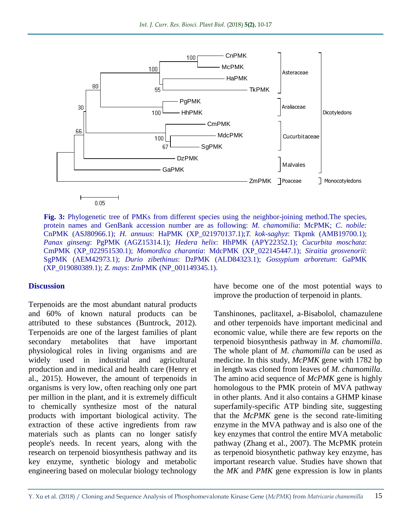

**Fig. 3:** Phylogenetic tree of PMKs from different species using the neighbor-joining method.The species, protein names and GenBank accession number are as following: *M. chamomilia*: McPMK; *C. nobile:*  CnPMK (ASJ80966.1); *H. annuus*: HaPMK (XP\_021970137.1);*T. kok-saghyz*: Tkpmk (AMB19700.1); *Panax ginseng*: PgPMK (AGZ15314.1); *Hedera helix*: HhPMK (APY22352.1); *Cucurbita moschata*: CmPMK (XP\_022951530.1); *Momordica charantia*: MdcPMK (XP\_022145447.1); *Siraitia grosvenorii*: SgPMK (AEM42973.1); *Durio zibethinus*: DzPMK (ALD84323.1); *Gossypium arboretum*: GaPMK (XP\_019080389.1); *Z. mays*: ZmPMK (NP\_001149345.1).

#### **Discussion**

Terpenoids are the most abundant natural products and 60% of known natural products can be attributed to these substances (Buntrock, 2012). Terpenoids are one of the largest families of plant secondary metabolites that have important physiological roles in living organisms and are widely used in industrial and agricultural production and in medical and health care (Henry et al., 2015). However, the amount of terpenoids in organisms is very low, often reaching only one part per million in the plant, and it is extremely difficult to chemically synthesize most of the natural products with important biological activity. The extraction of these active ingredients from raw materials such as plants can no longer satisfy people's needs. In recent years, along with the research on terpenoid biosynthesis pathway and its key enzyme, synthetic biology and metabolic engineering based on molecular biology technology

have become one of the most potential ways to improve the production of terpenoid in plants.

Tanshinones, paclitaxel, a-Bisabolol, chamazulene and other terpenoids have important medicinal and economic value, while there are few reports on the terpenoid biosynthesis pathway in *M. chamomilla*. The whole plant of *M. chamomilla* can be used as medicine. In this study, *McPMK* gene with 1782 bp in length was cloned from leaves of *M. chamomilla*. The amino acid sequence of *McPMK* gene is highly homologous to the PMK protein of MVA pathway in other plants. And it also contains a GHMP kinase superfamily-specific ATP binding site, suggesting that the *McPMK* gene is the second rate-limiting enzyme in the MVA pathway and is also one of the key enzymes that control the entire MVA metabolic pathway (Zhang et al., 2007). The McPMK protein as terpenoid biosynthetic pathway key enzyme, has important research value. Studies have shown that the *MK* and *PMK* gene expression is low in plants

Y. Xu et al. (2018) / Cloning and Sequence Analysis of Phosphomevalonate Kinase Gene (*McPMK*) from *Matricaria chamomilla* 15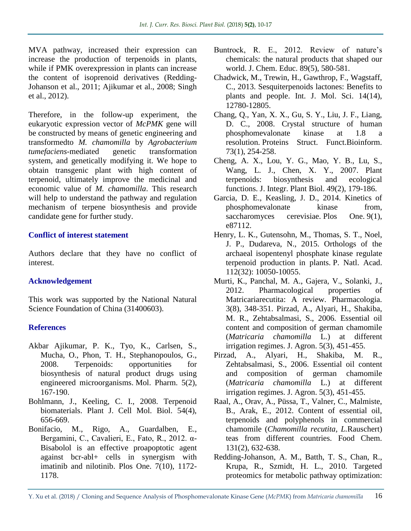MVA pathway, increased their expression can increase the production of terpenoids in plants, while if PMK overexpression in plants can increase the content of isoprenoid derivatives (Redding-Johanson et al., 2011; Ajikumar et al., 2008; Singh et al., 2012).

Therefore, in the follow-up experiment, the eukaryotic expression vector of *McPMK* gene will be constructed by means of genetic engineering and transformedto *M. chamomilla* by *Agrobacterium tumefaciens*-mediated genetic transformation system, and genetically modifying it. We hope to obtain transgenic plant with high content of terpenoid, ultimately improve the medicinal and economic value of *M. chamomilla*. This research will help to understand the pathway and regulation mechanism of terpene biosynthesis and provide candidate gene for further study.

#### **Conflict of interest statement**

Authors declare that they have no conflict of interest.

#### **Acknowledgement**

This work was supported by the National Natural Science Foundation of China (31400603).

#### **References**

- Akbar Ajikumar, P. K., Tyo, K., Carlsen, S., Mucha, O., Phon, T. H., Stephanopoulos, G., 2008. Terpenoids: opportunities for biosynthesis of natural product drugs using engineered microorganisms. Mol. Pharm. 5(2), 167-190.
- Bohlmann, J., Keeling, C. I., 2008. Terpenoid biomaterials. Plant J. Cell Mol. Biol. 54(4), 656-669.
- Bonifacio, M., Rigo, A., Guardalben, E., Bergamini, C., Cavalieri, E., Fato, R., 2012. α-Bisabolol is an effective proapoptotic agent against bcr-abl+ cells in synergism with imatinib and nilotinib. Plos One. 7(10), 1172- 1178.
- Buntrock, R. E., 2012. Review of nature's chemicals: the natural products that shaped our world. J. Chem. Educ. 89(5), 580-581.
- Chadwick, M., Trewin, H., Gawthrop, F., Wagstaff, C., 2013. Sesquiterpenoids lactones: Benefits to plants and people. Int. J. Mol. Sci. 14(14), 12780-12805.
- Chang, Q., Yan, X. X., Gu, S. Y., Liu, J. F., Liang, D. C., 2008. Crystal structure of human phosphomevalonate kinase at 1.8 a resolution. Proteins Struct. Funct.Bioinform. 73(1), 254-258.
- Cheng, A. X., Lou, Y. G., Mao, Y. B., Lu, S., Wang, L. J., Chen, X. Y., 2007. Plant terpenoids: biosynthesis and ecological functions. J. Integr. Plant Biol. 49(2), 179-186.
- Garcia, D. E., Keasling, J. D., 2014. Kinetics of phosphomevalonate kinase from, saccharomyces cerevisiae. Plos One. 9(1), e87112.
- Henry, L. K., Gutensohn, M., Thomas, S. T., Noel, J. P., Dudareva, N., 2015. Orthologs of the archaeal isopentenyl phosphate kinase regulate terpenoid production in plants. P. Natl. Acad. 112(32): 10050-10055.
- Murti, K., Panchal, M. A., Gajera, V., Solanki, J., 2012. Pharmacological properties of Matricariarecutita: A review. Pharmacologia. 3(8), 348-351. Pirzad, A., Alyari, H., Shakiba, M. R., Zehtabsalmasi, S., 2006. Essential oil content and composition of german chamomile (*Matricaria chamomilla* L.) at different irrigation regimes. J. Agron. 5(3), 451-455.
- Pirzad, A., Alyari, H., Shakiba, M. R., Zehtabsalmasi, S., 2006. Essential oil content and composition of german chamomile (*Matricaria chamomilla* L.) at different irrigation regimes. J. Agron. 5(3), 451-455.
- Raal, A., Orav, A., Püssa, T., Valner, C., Malmiste, B., Arak, E., 2012. Content of essential oil, terpenoids and polyphenols in commercial chamomile (*Chamomilla recutita, L.*Rauschert) teas from different countries. Food Chem. 131(2), 632-638.
- Redding-Johanson, A. M., Batth, T. S., Chan, R., Krupa, R., Szmidt, H. L., 2010. Targeted proteomics for metabolic pathway optimization: